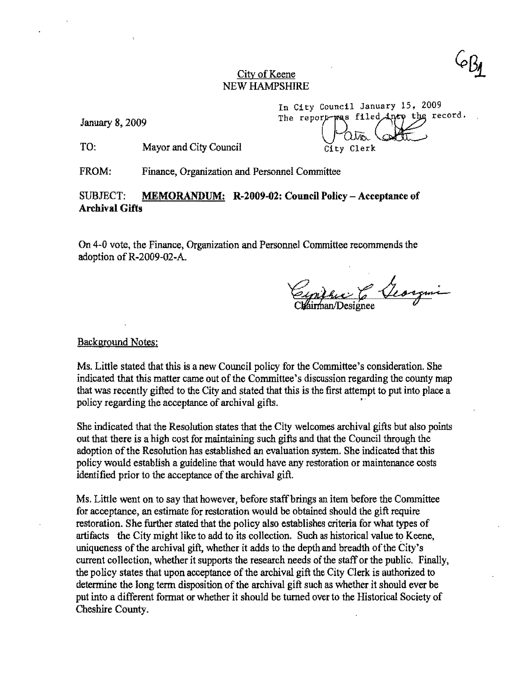### City of Keene NEW HAMPSHIRE

January 8, 2009

In City Council January 15, 2009<br>The report-was filed durp the record. The report-was filed City Clerk

TO: Mayor and City Council

FROM: Finance, Organization and Personnel Committee

## SUBJECT: MEMORANDUM: R-2009-02: Council Policy - Acceptance of Archival Gifts

On 4-0 vote, the Finance, Organization and Personnel Committee recommends the adoption ofR-2009-02-A.

Eypifac 6 Veorgme

Background Notes:

Ms. Little stated that this is a new Council policy for the Committee's consideration. She indicated that this matter came out of the Committee's discussion regarding the county map that was recently gifted to the City and stated that this is the first attempt to put into place a policy regarding the acceptance of archival gifts.

She indicated that the Resolution states that the City welcomes archival gifts but also points out that there is a high cost for maintaining such gifts and that the Council through the adoption of the Resolution has established an evaluation system. She indicated that this policy would establish a guideline that would have any restoration or maintenance costs identified prior to the acceptance of the archival gift.

Ms. Little went on to say that however, before staff brings an item before the Committee for acceptance, an estimate for restoration would be obtained should the gift require restoration. She further stated that the policy also establishes criteria for what types of artifacts the City might like to add to its collection. Such as historical value to Keene, uniqueness of the archival gift, whether it adds to the depth and breadth of the City's current collection, whether it supports the research needs of the staff or the public. Finally, the policy states that upon acceptance of the archival gift the City Clerk is authorized to determine the long term disposition of the archival gift such as whether it should ever be put into a different format or whether it should be turned over to the Historical Society of Cheshire County.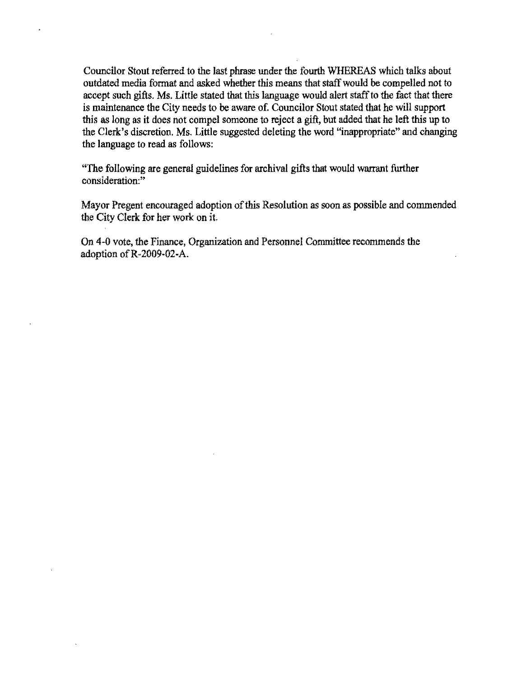Councilor Stout referred to the last phrase under the fourth WHEREAS which talks about outdated media format and asked whether this means that staff would be compelled not to accept such gifts. Ms. Little stated that this language would alert staff to the fact that there is maintenance the City needs to be aware of. Councilor Stout stated that he will support this as long as it does not compel someone to reject a gift, but added that he left this up to the Clerk's discretion. Ms. Little suggested deleting the word "inappropriate" and changing the language to read as follows:

"The following are general guidelines for archival gifts that would warrant further consideration:"

Mayor Pregent encouraged adoption of this Resolution as soon as possible and commended the City Clerk for her work on it.

On 4-0 vote, the Finance, Organization and Personnel Committee recommends the adoption ofR-2009-02-A.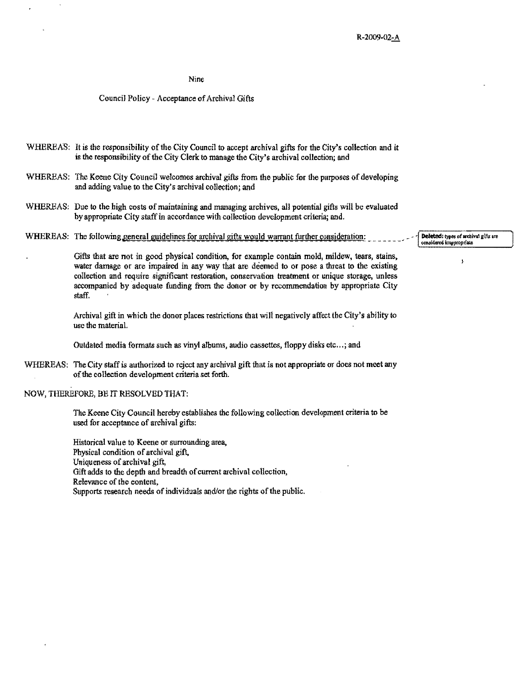#### Nine

#### Council Policy - Acceptance of Archival Gifts

WHEREAS: It *is* the responsibility of the *City* Council to accept archival gifts for the City's collection and *it*  is the responsibility of the City Clerk to manage the City's archival collection; and

- WHEREAS: The Keene City Council welcomes archival gifts from the public for the purposes of developing and adding value to the City's archival collection; and
- WHEREAS: Due to the high costs of maintaining and managing archives, all potential gifts will be evaluated by appropriate City staff in accordance with collection development criteria; and.
- WHEREAS: The following general guidelines for archival gifts would warrant further consideration: Detected: types of archival gifts are

Gifts that are not in good physical condition, for example contain mold, mildew, tears, stains, water damage or are impaired in any way that are deemed to **or** pose a threat to the existing collection and require significant restoration, conservation treatment or unique storage, unless accompanied by adequate funding from the donor or by recommendation by appropriate City staff.

Archival gift in which the donor places restrictions that will negatively affect the City's ability to **use the material.** 

Outdated media formats such as vinyl albums, audio cassettes, floppy disks etc ... ; and

WHEREAS: The City staff is authorized to reject any archival gift that is not appropriate or does not meet any of the collection development criteria set forth.

NOW, THEREFORE, BE IT RESOLVED THAT:

The Keene City Council hereby establishes the following collection developmenl criteria to be used for acceptance of archival gifts:

Historical value to Keene or surrounding area, Physical condition of archival gift, Uniqueness of archival gift, Gift adds to the depth and breadth of current archival collection, Relevance of the content, Supports research needs of individuals and/or the rights of the public.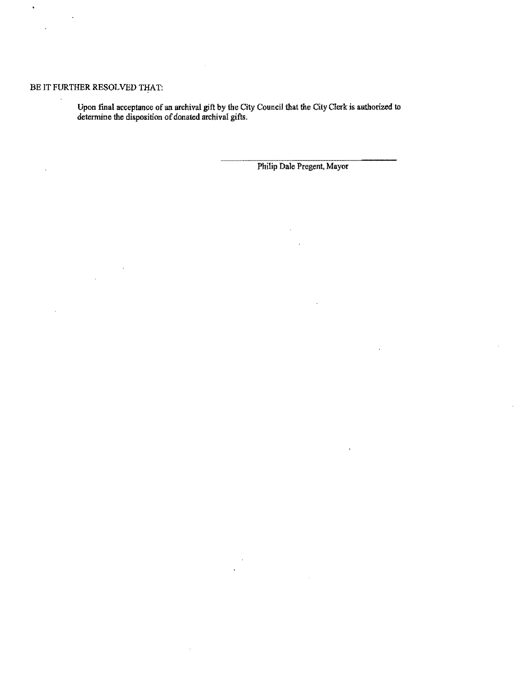## BE IT FURTHER RESOLVED THAT:

Upon final acceptance of an archival gift by the City Council that the City Clerk is authorized to determine the disposition of donated archival gifts.

Philip Dale Pregent, Mayor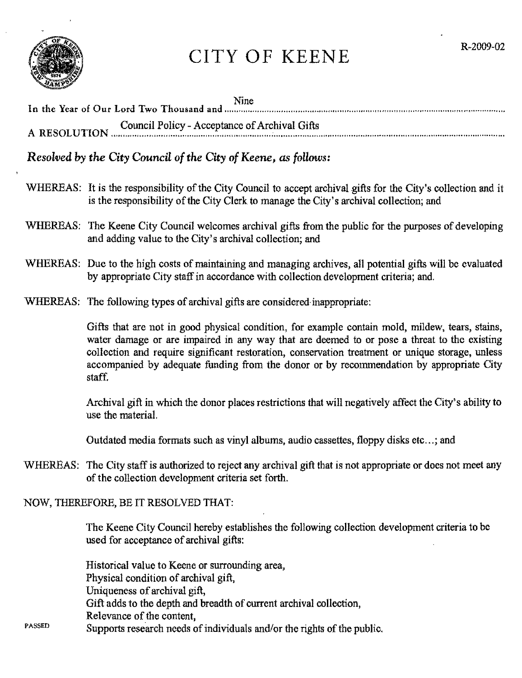

# CITY OF KEENE

| Nine<br>In the Year of Our Lord Two Thousand and multimediate multimediate multimediate multimediate multimediate multimediate |
|--------------------------------------------------------------------------------------------------------------------------------|
| Council Policy - Acceptance of Archival Gifts<br>A RESOLUTION <b>COULD'</b> I ONCY - ACCORDING OF ALCHIVAL CHA                 |

*Resolved by the City Council of the City of Keene, as follows:* 

- WHEREAS: It is the responsibility of the City Council to accept archival gifts for the City's collection and it is the responsibility of the City Clerk to manage the City's archival collection; and
- WHEREAS: The Keene City Council welcomes archival gifts from the public for the purposes of developing and adding value to the City's archival collection; and
- WHEREAS: Due to the high costs of maintaining and managing archives, all potential gifts will be evaluated by appropriate City staff in accordance with collection development criteria; and.
- WHEREAS: The following types of archival gifts are considered inappropriate:

Gifts that are not in good physical condition, for example contain mold, mildew, tears, stains, water damage or are impaired in any way that are deemed to or pose a threat to the existing collection and require significant restoration, conservation treatment or unique storage, unless accompanied by adequate funding from the donor or by recommendation by appropriate City staff.

Archival gift in which the donor places restrictions that will negatively affect the City's ability to use the material.

Outdated media formats such as vinyl albums, audio cassettes, floppy disks etc...; and

WHEREAS: The City staff is authorized to reject any archival gift that is not appropriate or does not meet any of the collection development criteria set forth.

NOW, THEREFORE, BE IT RESOLVED THAT:

The Keene City Council hereby establishes the following collection development criteria to be used for acceptance of archival gifts:

Historical value to Keene or surrounding area, Physical condition of archival gift, Uniqueness of archival gift, Gift adds to the depth and breadth of current archival collection, Relevance of the content,

PASSED Supports research needs of individuals and/or the rights of the public.